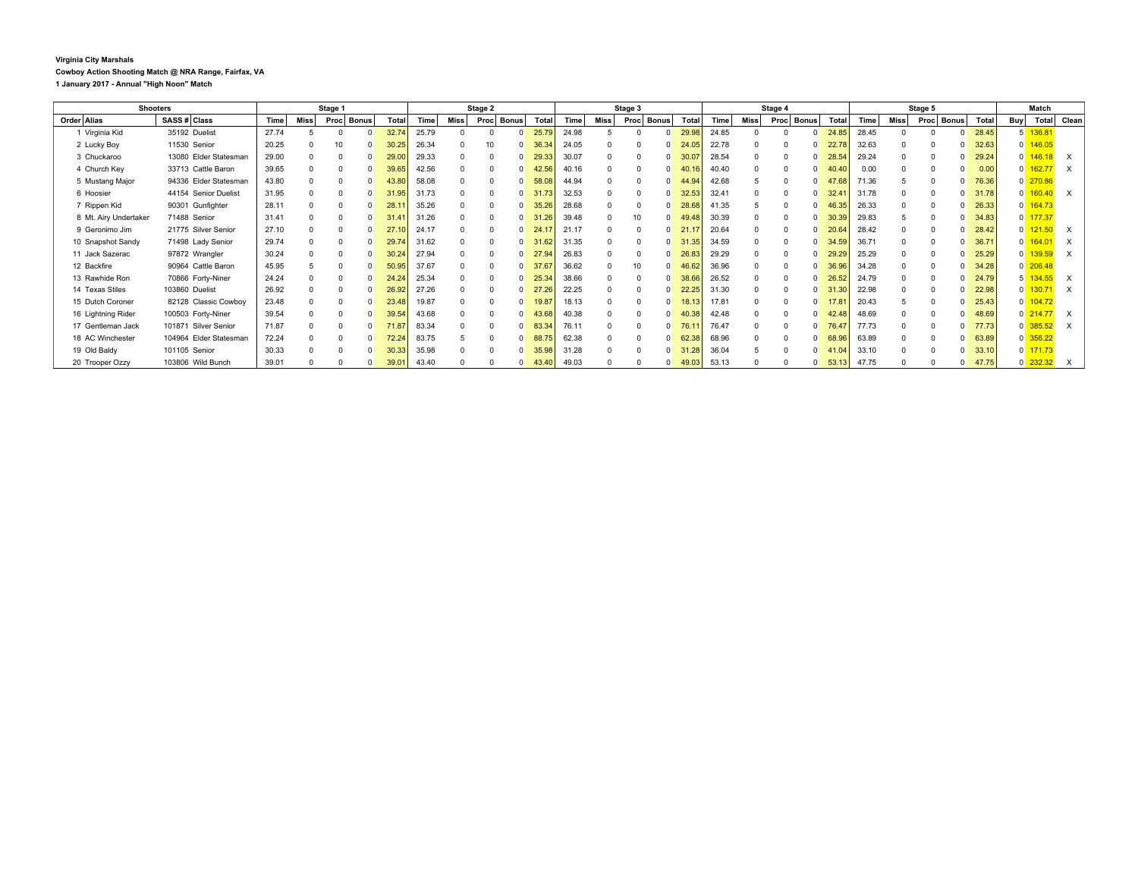## **Virginia City Marshals Cowboy Action Shooting Match @ NRA Range, Fairfax, VA 1 January 2017 - Annual "High Noon" Match**

| <b>Shooters</b>       |                        | Stage 1 |      |          |              | Stage 2 |             |                  |          |              | Stage 3 |       |              |      | Stage 4      |       |       |      |  | Stage 5        |                     |       |      | Match                |       |     |            |                           |
|-----------------------|------------------------|---------|------|----------|--------------|---------|-------------|------------------|----------|--------------|---------|-------|--------------|------|--------------|-------|-------|------|--|----------------|---------------------|-------|------|----------------------|-------|-----|------------|---------------------------|
| Order Alias           | SASS # Class           | Time    | Miss | Proc     | <b>Bonus</b> | Total   | <b>Time</b> | Miss <sup></sup> | Proc     | <b>Bonus</b> | Tota    | Time  | Miss         | Proc | <b>Bonus</b> | Total | Time  | Miss |  | Proc Bonus     | Tota                | Time  | Miss | <b>Bonus</b><br>Proc | Total | Buy | Total      | Clean                     |
| 1 Virginia Kid        | 35192 Duelist          | 27.74   |      |          |              | 32.74   | 25.79       | $\Omega$         | $\Omega$ |              | 25.79   | 24.98 |              |      |              | 29.98 | 24.85 |      |  | $\Omega$       | 24.85               | 28.45 |      |                      | 28.45 |     | 136.81     |                           |
| 2 Lucky Boy           | 11530 Senior           | 20.25   |      | 10       |              | 30.25   | 26.34       |                  | 10       |              | 36.34   | 24.05 |              |      |              | 24.05 | 22.78 |      |  | $\Omega$       | 22.78               | 32.63 |      |                      | 32.63 |     | $0$ 146.05 |                           |
| 3 Chuckaroo           | 13080 Elder Statesman  | 29.00   |      |          |              | 29.00   | 29.33       | $\Omega$         |          |              | 29.33   | 30.07 |              |      |              | 30.0  | 28.54 |      |  | $\Omega$       | 28.54               | 29.24 |      |                      | 29.24 |     | 146.18     | $\mathsf{x}$              |
| 4 Church Key          | 33713 Cattle Baron     | 39.65   |      | $\Omega$ |              | 39.65   | 42.56       | $\Omega$         |          |              | 42.56   | 40.16 | $\Omega$     |      |              | 40.   | 40.40 |      |  | $\Omega$       | .40<br>40           | 0.00  |      |                      | 0.00  |     | 162.77     | $\times$                  |
| 5 Mustang Major       | 94336 Elder Statesman  | 43.80   |      |          |              | 13.80   | 58.08       | $\Omega$         |          |              | 58.08   | 44.94 | $\Omega$     |      |              | 44.94 | 42.68 |      |  | $\Omega$       | .68                 | 71.36 |      |                      | 76.36 |     | $0$ 270.86 |                           |
| 6 Hoosier             | 44154 Senior Duelist   | 31.95   |      |          |              | .95     | 31.73       |                  |          |              | 31.73   | 32.53 |              |      |              | 32.53 | 32.41 |      |  | $\Omega$       | 32.41               | 31.78 |      |                      | 31.78 |     | 160.40     | $\mathsf{x}$              |
| 7 Rippen Kid          | 90301 Gunfighter       | 28.11   |      | $\Omega$ |              | 28.7    | 35.26       | $\Omega$         |          |              | 35.2    | 28.68 |              |      |              | 28.68 | 41.35 |      |  | $\Omega$       | .35<br>40           | 26.33 |      |                      | 26.33 |     | 164.73     |                           |
| 8 Mt. Airy Undertaker | 71488 Senior           | 31.41   |      | $\Omega$ |              | 31.4    | 31.26       | $\Omega$         | $\Omega$ | $\Omega$     | 31.26   | 39.48 | $\Omega$     | 10   |              | 49.48 | 30.39 |      |  | $\Omega$       | .39<br>30           | 29.83 |      |                      | 34.83 |     | 177.37     |                           |
| 9 Geronimo Jim        | 21775 Silver Senior    | 27.10   |      |          |              |         | 24.17       |                  |          |              | 24.     | 21.17 |              |      |              | 21.   | 20.64 |      |  | $\Omega$       | .64                 | 28.42 |      |                      | 28.42 |     | 121.50     | $\mathsf{x}$              |
| 10 Snapshot Sandy     | 71498 Lady Senior      | 29.74   |      |          |              | 29.74   | 31.62       | $\Omega$         |          |              | 31.     | 31.35 |              |      |              | 31.35 | 34.59 |      |  | $\Omega$       | 34.59               | 36.71 |      |                      | 36.71 |     | 164.01     | $\times$                  |
| 11 Jack Sazerac       | 97872 Wrangler         | 30.24   |      |          |              | 30.24   | 27.94       | $\Omega$         |          |              | 27.94   | 26.83 | $\Omega$     |      |              | 26.83 | 29.29 |      |  | $\Omega$       | 29.29               | 25.29 |      |                      | 25.29 |     | 139.59     | $\boldsymbol{\mathsf{x}}$ |
| 12 Backfire           | 90964 Cattle Baron     | 45.95   |      |          |              | 50.95   | 37.67       | $\Omega$         |          |              | 37.67   | 36.62 | $\Omega$     | 10   |              | 46.62 | 36.96 |      |  | $\Omega$       | 36.96               | 34.28 |      |                      | 34.28 |     | $0$ 206.48 |                           |
| 13 Rawhide Ron        | 70866 Forty-Niner      | 24.24   |      |          |              | 24.24   | 25.34       |                  |          |              | 25.34   | 38.66 |              |      |              | 38.66 | 26.52 |      |  | $\Omega$       | 26.52               | 24.79 |      |                      | 24.79 |     | 5 134.55   | $\times$                  |
| 14 Texas Stiles       | 103860 Duelist         | 26.92   |      |          |              |         | 27.26       | $\Omega$         |          |              | 27.2    | 22.25 | <sup>0</sup> |      |              | 22.25 | 31.30 |      |  | $\Omega$       | .30                 | 22.98 |      |                      | 22.98 |     | 130.71     | $\times$                  |
| 15 Dutch Coroner      | 82128 Classic Cowboy   | 23.48   |      |          |              | 23.48   | 19.87       | $\Omega$         |          |              | 19.87   | 18.13 | $\Omega$     |      |              | 18.1  | 17.81 |      |  | $\Omega$       | 7.81                | 20.43 |      |                      | 25.43 |     | 104.72     |                           |
| 16 Lightning Rider    | 100503 Forty-Niner     | 39.54   |      |          |              | 39.54   | 43.68       | $\Omega$         |          | $\Omega$     | 43.68   | 40.38 | $\Omega$     |      |              | 40.38 | 42.48 |      |  | $\Omega$       | .48<br>$\mathbf{A}$ | 48.69 |      |                      | 48.69 |     | $0$ 214.77 | $\times$                  |
| 17 Gentleman Jack     | 101871 Silver Senior   | 71.87   |      |          |              | 71.87   | 83.34       | $\Omega$         |          |              | 83.34   | 76.11 |              |      |              | 76.1  | 76.47 |      |  | $\Omega$       | 76.47               | 77.73 |      |                      | 77.73 |     | 385.52     | $\times$                  |
| 18 AC Winchester      | 104964 Elder Statesman | 72.24   |      |          |              |         | 83.75       |                  |          |              | 88.     | 62.38 | $\Omega$     |      |              | 62.38 | 68.96 |      |  | $\overline{0}$ | 68<br>,96           | 63.89 |      |                      | 63.89 |     | $0$ 356.22 |                           |
| 19 Old Baldy          | 101105 Senior          | 30.33   |      |          |              | 30.33   | 35.98       | $\Omega$         |          | n.           | 35.98   | 31.28 |              |      |              | 31.28 | 36.04 |      |  | $\Omega$       | .04<br>-41          | 33.10 |      |                      | 33.10 |     | $0$ 171.73 |                           |
| 20 Trooper Ozzy       | 103806 Wild Bunch      | 39.01   |      |          |              | 39.0    | 43.40       |                  |          |              | 43.40   | 49.03 |              |      |              | 49.03 | 53.13 |      |  | $\overline{0}$ | 53.13               | 47.75 |      |                      | 47.75 |     | $0$ 232.32 | $\boldsymbol{\mathsf{X}}$ |